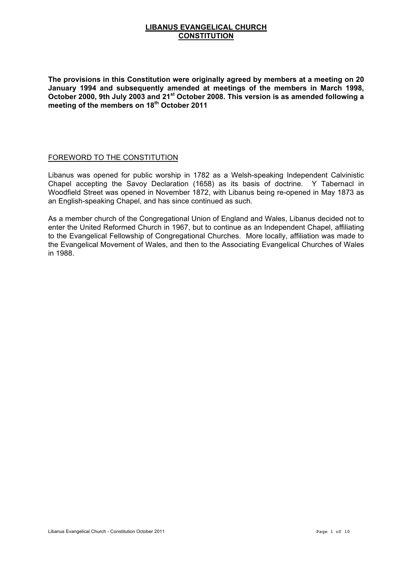## **LIBANUS EVANGELICAL CHURCH CONSTITUTION**

**The provisions in this Constitution were originally agreed by members at a meeting on 20 January 1994 and subsequently amended at meetings of the members in March 1998, October 2000, 9th July 2003 and 21st October 2008. This version is as amended following a meeting of the members on 18th October 2011**

## FOREWORD TO THE CONSTITUTION

Libanus was opened for public worship in 1782 as a Welsh-speaking Independent Calvinistic Chapel accepting the Savoy Declaration (1658) as its basis of doctrine. Y Tabernacl in Woodfield Street was opened in November 1872, with Libanus being re-opened in May 1873 as an English-speaking Chapel, and has since continued as such.

As a member church of the Congregational Union of England and Wales, Libanus decided not to enter the United Reformed Church in 1967, but to continue as an Independent Chapel, affiliating to the Evangelical Fellowship of Congregational Churches. More locally, affiliation was made to the Evangelical Movement of Wales, and then to the Associating Evangelical Churches of Wales in 1988.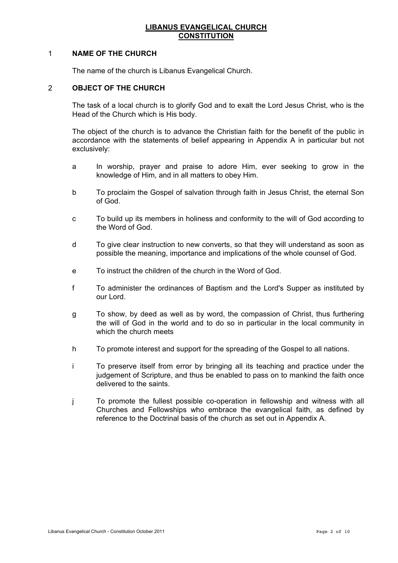## **LIBANUS EVANGELICAL CHURCH CONSTITUTION**

### 1 **NAME OF THE CHURCH**

The name of the church is Libanus Evangelical Church.

#### 2 **OBJECT OF THE CHURCH**

The task of a local church is to glorify God and to exalt the Lord Jesus Christ, who is the Head of the Church which is His body.

The object of the church is to advance the Christian faith for the benefit of the public in accordance with the statements of belief appearing in Appendix A in particular but not exclusively:

- a In worship, prayer and praise to adore Him, ever seeking to grow in the knowledge of Him, and in all matters to obey Him.
- b To proclaim the Gospel of salvation through faith in Jesus Christ, the eternal Son of God.
- c To build up its members in holiness and conformity to the will of God according to the Word of God.
- d To give clear instruction to new converts, so that they will understand as soon as possible the meaning, importance and implications of the whole counsel of God.
- e To instruct the children of the church in the Word of God.
- f To administer the ordinances of Baptism and the Lord's Supper as instituted by our Lord.
- g To show, by deed as well as by word, the compassion of Christ, thus furthering the will of God in the world and to do so in particular in the local community in which the church meets
- h To promote interest and support for the spreading of the Gospel to all nations.
- i To preserve itself from error by bringing all its teaching and practice under the judgement of Scripture, and thus be enabled to pass on to mankind the faith once delivered to the saints.
- j To promote the fullest possible co-operation in fellowship and witness with all Churches and Fellowships who embrace the evangelical faith, as defined by reference to the Doctrinal basis of the church as set out in Appendix A.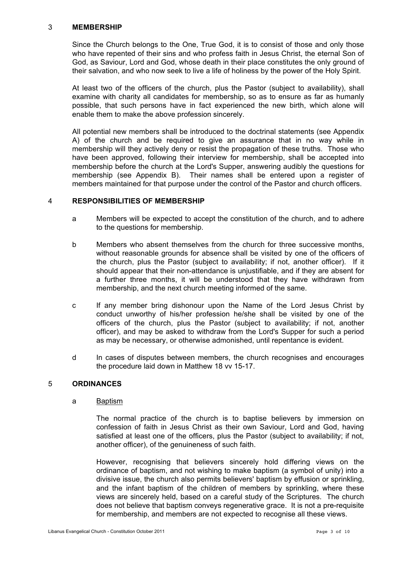## 3 **MEMBERSHIP**

Since the Church belongs to the One, True God, it is to consist of those and only those who have repented of their sins and who profess faith in Jesus Christ, the eternal Son of God, as Saviour, Lord and God, whose death in their place constitutes the only ground of their salvation, and who now seek to live a life of holiness by the power of the Holy Spirit.

At least two of the officers of the church, plus the Pastor (subject to availability), shall examine with charity all candidates for membership, so as to ensure as far as humanly possible, that such persons have in fact experienced the new birth, which alone will enable them to make the above profession sincerely.

All potential new members shall be introduced to the doctrinal statements (see Appendix A) of the church and be required to give an assurance that in no way while in membership will they actively deny or resist the propagation of these truths. Those who have been approved, following their interview for membership, shall be accepted into membership before the church at the Lord's Supper, answering audibly the questions for membership (see Appendix B). Their names shall be entered upon a register of members maintained for that purpose under the control of the Pastor and church officers.

### 4 **RESPONSIBILITIES OF MEMBERSHIP**

- a Members will be expected to accept the constitution of the church, and to adhere to the questions for membership.
- b Members who absent themselves from the church for three successive months, without reasonable grounds for absence shall be visited by one of the officers of the church, plus the Pastor (subject to availability; if not, another officer). If it should appear that their non-attendance is unjustifiable, and if they are absent for a further three months, it will be understood that they have withdrawn from membership, and the next church meeting informed of the same.
- c If any member bring dishonour upon the Name of the Lord Jesus Christ by conduct unworthy of his/her profession he/she shall be visited by one of the officers of the church, plus the Pastor (subject to availability; if not, another officer), and may be asked to withdraw from the Lord's Supper for such a period as may be necessary, or otherwise admonished, until repentance is evident.
- d In cases of disputes between members, the church recognises and encourages the procedure laid down in Matthew 18 vv 15-17.

### 5 **ORDINANCES**

### a Baptism

The normal practice of the church is to baptise believers by immersion on confession of faith in Jesus Christ as their own Saviour, Lord and God, having satisfied at least one of the officers, plus the Pastor (subject to availability; if not, another officer), of the genuineness of such faith.

However, recognising that believers sincerely hold differing views on the ordinance of baptism, and not wishing to make baptism (a symbol of unity) into a divisive issue, the church also permits believers' baptism by effusion or sprinkling, and the infant baptism of the children of members by sprinkling, where these views are sincerely held, based on a careful study of the Scriptures. The church does not believe that baptism conveys regenerative grace. It is not a pre-requisite for membership, and members are not expected to recognise all these views.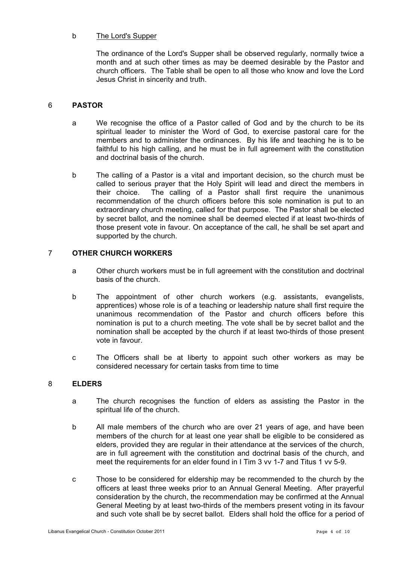## b The Lord's Supper

The ordinance of the Lord's Supper shall be observed regularly, normally twice a month and at such other times as may be deemed desirable by the Pastor and church officers. The Table shall be open to all those who know and love the Lord Jesus Christ in sincerity and truth.

# 6 **PASTOR**

- a We recognise the office of a Pastor called of God and by the church to be its spiritual leader to minister the Word of God, to exercise pastoral care for the members and to administer the ordinances. By his life and teaching he is to be faithful to his high calling, and he must be in full agreement with the constitution and doctrinal basis of the church.
- b The calling of a Pastor is a vital and important decision, so the church must be called to serious prayer that the Holy Spirit will lead and direct the members in their choice. The calling of a Pastor shall first require the unanimous recommendation of the church officers before this sole nomination is put to an extraordinary church meeting, called for that purpose. The Pastor shall be elected by secret ballot, and the nominee shall be deemed elected if at least two-thirds of those present vote in favour. On acceptance of the call, he shall be set apart and supported by the church.

# 7 **OTHER CHURCH WORKERS**

- a Other church workers must be in full agreement with the constitution and doctrinal basis of the church.
- b The appointment of other church workers (e.g. assistants, evangelists, apprentices) whose role is of a teaching or leadership nature shall first require the unanimous recommendation of the Pastor and church officers before this nomination is put to a church meeting. The vote shall be by secret ballot and the nomination shall be accepted by the church if at least two-thirds of those present vote in favour.
- c The Officers shall be at liberty to appoint such other workers as may be considered necessary for certain tasks from time to time

### 8 **ELDERS**

- a The church recognises the function of elders as assisting the Pastor in the spiritual life of the church.
- b All male members of the church who are over 21 years of age, and have been members of the church for at least one year shall be eligible to be considered as elders, provided they are regular in their attendance at the services of the church, are in full agreement with the constitution and doctrinal basis of the church, and meet the requirements for an elder found in I Tim 3 vv 1-7 and Titus 1 vv 5-9.
- c Those to be considered for eldership may be recommended to the church by the officers at least three weeks prior to an Annual General Meeting. After prayerful consideration by the church, the recommendation may be confirmed at the Annual General Meeting by at least two-thirds of the members present voting in its favour and such vote shall be by secret ballot. Elders shall hold the office for a period of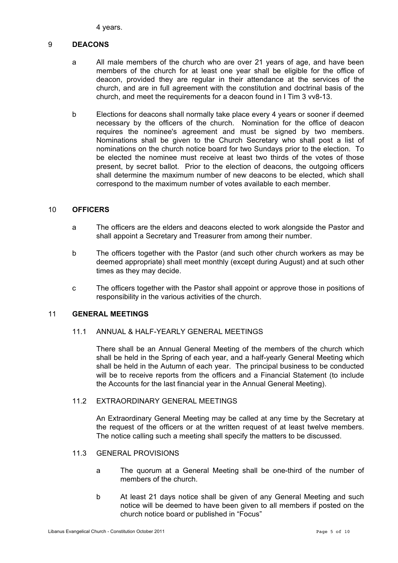4 years.

## 9 **DEACONS**

- a All male members of the church who are over 21 years of age, and have been members of the church for at least one year shall be eligible for the office of deacon, provided they are regular in their attendance at the services of the church, and are in full agreement with the constitution and doctrinal basis of the church, and meet the requirements for a deacon found in I Tim 3 vv8-13.
- b Elections for deacons shall normally take place every 4 years or sooner if deemed necessary by the officers of the church. Nomination for the office of deacon requires the nominee's agreement and must be signed by two members. Nominations shall be given to the Church Secretary who shall post a list of nominations on the church notice board for two Sundays prior to the election. To be elected the nominee must receive at least two thirds of the votes of those present, by secret ballot. Prior to the election of deacons, the outgoing officers shall determine the maximum number of new deacons to be elected, which shall correspond to the maximum number of votes available to each member.

## 10 **OFFICERS**

- a The officers are the elders and deacons elected to work alongside the Pastor and shall appoint a Secretary and Treasurer from among their number.
- b The officers together with the Pastor (and such other church workers as may be deemed appropriate) shall meet monthly (except during August) and at such other times as they may decide.
- c The officers together with the Pastor shall appoint or approve those in positions of responsibility in the various activities of the church.

## 11 **GENERAL MEETINGS**

# 11.1 ANNUAL & HALF-YEARLY GENERAL MEETINGS

There shall be an Annual General Meeting of the members of the church which shall be held in the Spring of each year, and a half-yearly General Meeting which shall be held in the Autumn of each year. The principal business to be conducted will be to receive reports from the officers and a Financial Statement (to include the Accounts for the last financial year in the Annual General Meeting).

## 11.2 EXTRAORDINARY GENERAL MEETINGS

An Extraordinary General Meeting may be called at any time by the Secretary at the request of the officers or at the written request of at least twelve members. The notice calling such a meeting shall specify the matters to be discussed.

- 11.3 GENERAL PROVISIONS
	- a The quorum at a General Meeting shall be one-third of the number of members of the church.
	- b At least 21 days notice shall be given of any General Meeting and such notice will be deemed to have been given to all members if posted on the church notice board or published in "Focus"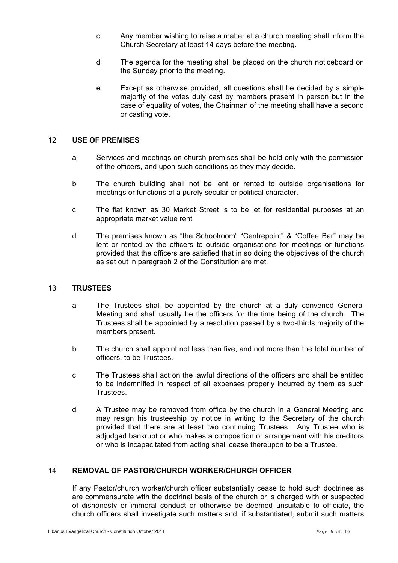- c Any member wishing to raise a matter at a church meeting shall inform the Church Secretary at least 14 days before the meeting.
- d The agenda for the meeting shall be placed on the church noticeboard on the Sunday prior to the meeting.
- e Except as otherwise provided, all questions shall be decided by a simple majority of the votes duly cast by members present in person but in the case of equality of votes, the Chairman of the meeting shall have a second or casting vote.

## 12 **USE OF PREMISES**

- a Services and meetings on church premises shall be held only with the permission of the officers, and upon such conditions as they may decide.
- b The church building shall not be lent or rented to outside organisations for meetings or functions of a purely secular or political character.
- c The flat known as 30 Market Street is to be let for residential purposes at an appropriate market value rent
- d The premises known as "the Schoolroom" "Centrepoint" & "Coffee Bar" may be lent or rented by the officers to outside organisations for meetings or functions provided that the officers are satisfied that in so doing the objectives of the church as set out in paragraph 2 of the Constitution are met.

### 13 **TRUSTEES**

- a The Trustees shall be appointed by the church at a duly convened General Meeting and shall usually be the officers for the time being of the church. The Trustees shall be appointed by a resolution passed by a two-thirds majority of the members present.
- b The church shall appoint not less than five, and not more than the total number of officers, to be Trustees.
- c The Trustees shall act on the lawful directions of the officers and shall be entitled to be indemnified in respect of all expenses properly incurred by them as such **Trustees**
- d A Trustee may be removed from office by the church in a General Meeting and may resign his trusteeship by notice in writing to the Secretary of the church provided that there are at least two continuing Trustees. Any Trustee who is adjudged bankrupt or who makes a composition or arrangement with his creditors or who is incapacitated from acting shall cease thereupon to be a Trustee.

# 14 **REMOVAL OF PASTOR/CHURCH WORKER/CHURCH OFFICER**

If any Pastor/church worker/church officer substantially cease to hold such doctrines as are commensurate with the doctrinal basis of the church or is charged with or suspected of dishonesty or immoral conduct or otherwise be deemed unsuitable to officiate, the church officers shall investigate such matters and, if substantiated, submit such matters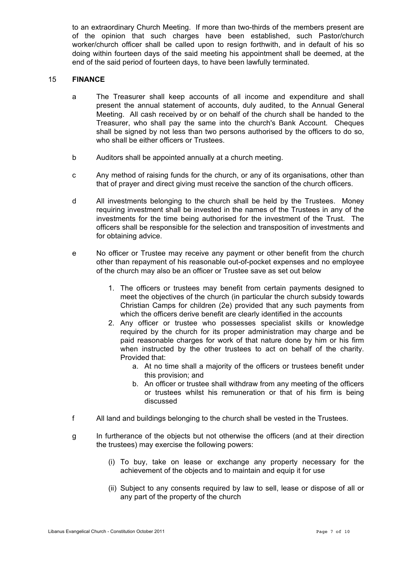to an extraordinary Church Meeting. If more than two-thirds of the members present are of the opinion that such charges have been established, such Pastor/church worker/church officer shall be called upon to resign forthwith, and in default of his so doing within fourteen days of the said meeting his appointment shall be deemed, at the end of the said period of fourteen days, to have been lawfully terminated.

### 15 **FINANCE**

- a The Treasurer shall keep accounts of all income and expenditure and shall present the annual statement of accounts, duly audited, to the Annual General Meeting. All cash received by or on behalf of the church shall be handed to the Treasurer, who shall pay the same into the church's Bank Account. Cheques shall be signed by not less than two persons authorised by the officers to do so, who shall be either officers or Trustees.
- b Auditors shall be appointed annually at a church meeting.
- c Any method of raising funds for the church, or any of its organisations, other than that of prayer and direct giving must receive the sanction of the church officers.
- d All investments belonging to the church shall be held by the Trustees. Money requiring investment shall be invested in the names of the Trustees in any of the investments for the time being authorised for the investment of the Trust. The officers shall be responsible for the selection and transposition of investments and for obtaining advice.
- e No officer or Trustee may receive any payment or other benefit from the church other than repayment of his reasonable out-of-pocket expenses and no employee of the church may also be an officer or Trustee save as set out below
	- 1. The officers or trustees may benefit from certain payments designed to meet the objectives of the church (in particular the church subsidy towards Christian Camps for children (2e) provided that any such payments from which the officers derive benefit are clearly identified in the accounts
	- 2. Any officer or trustee who possesses specialist skills or knowledge required by the church for its proper administration may charge and be paid reasonable charges for work of that nature done by him or his firm when instructed by the other trustees to act on behalf of the charity. Provided that:
		- a. At no time shall a majority of the officers or trustees benefit under this provision; and
		- b. An officer or trustee shall withdraw from any meeting of the officers or trustees whilst his remuneration or that of his firm is being discussed
- f All land and buildings belonging to the church shall be vested in the Trustees.
- g In furtherance of the objects but not otherwise the officers (and at their direction the trustees) may exercise the following powers:
	- (i) To buy, take on lease or exchange any property necessary for the achievement of the objects and to maintain and equip it for use
	- (ii) Subject to any consents required by law to sell, lease or dispose of all or any part of the property of the church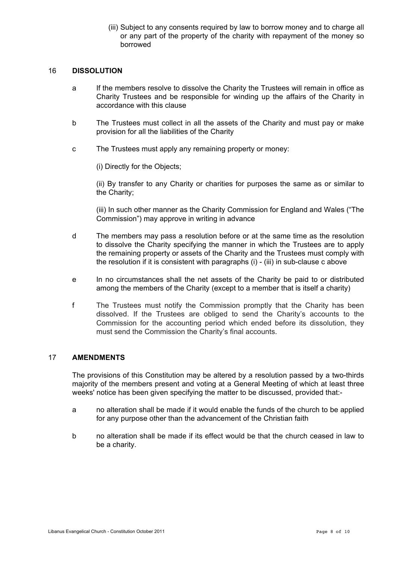(iii) Subject to any consents required by law to borrow money and to charge all or any part of the property of the charity with repayment of the money so borrowed

## 16 **DISSOLUTION**

- a If the members resolve to dissolve the Charity the Trustees will remain in office as Charity Trustees and be responsible for winding up the affairs of the Charity in accordance with this clause
- b The Trustees must collect in all the assets of the Charity and must pay or make provision for all the liabilities of the Charity
- c The Trustees must apply any remaining property or money:

(i) Directly for the Objects;

(ii) By transfer to any Charity or charities for purposes the same as or similar to the Charity;

(iii) In such other manner as the Charity Commission for England and Wales ("The Commission") may approve in writing in advance

- d The members may pass a resolution before or at the same time as the resolution to dissolve the Charity specifying the manner in which the Trustees are to apply the remaining property or assets of the Charity and the Trustees must comply with the resolution if it is consistent with paragraphs (i) - (iii) in sub-clause c above
- e In no circumstances shall the net assets of the Charity be paid to or distributed among the members of the Charity (except to a member that is itself a charity)
- f The Trustees must notify the Commission promptly that the Charity has been dissolved. If the Trustees are obliged to send the Charity's accounts to the Commission for the accounting period which ended before its dissolution, they must send the Commission the Charity's final accounts.

## 17 **AMENDMENTS**

The provisions of this Constitution may be altered by a resolution passed by a two-thirds majority of the members present and voting at a General Meeting of which at least three weeks' notice has been given specifying the matter to be discussed, provided that:-

- a no alteration shall be made if it would enable the funds of the church to be applied for any purpose other than the advancement of the Christian faith
- b no alteration shall be made if its effect would be that the church ceased in law to be a charity.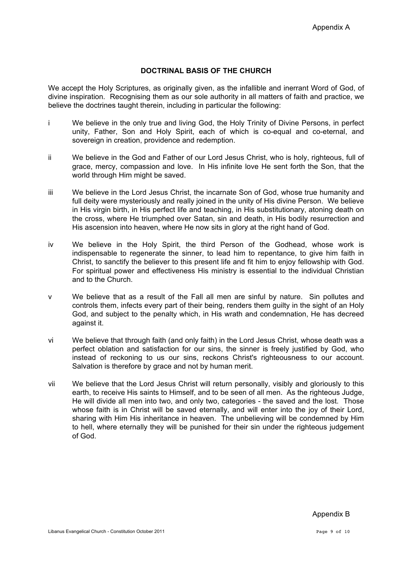# **DOCTRINAL BASIS OF THE CHURCH**

We accept the Holy Scriptures, as originally given, as the infallible and inerrant Word of God, of divine inspiration. Recognising them as our sole authority in all matters of faith and practice, we believe the doctrines taught therein, including in particular the following:

- i We believe in the only true and living God, the Holy Trinity of Divine Persons, in perfect unity, Father, Son and Holy Spirit, each of which is co-equal and co-eternal, and sovereign in creation, providence and redemption.
- ii We believe in the God and Father of our Lord Jesus Christ, who is holy, righteous, full of grace, mercy, compassion and love. In His infinite love He sent forth the Son, that the world through Him might be saved.
- iii We believe in the Lord Jesus Christ, the incarnate Son of God, whose true humanity and full deity were mysteriously and really joined in the unity of His divine Person. We believe in His virgin birth, in His perfect life and teaching, in His substitutionary, atoning death on the cross, where He triumphed over Satan, sin and death, in His bodily resurrection and His ascension into heaven, where He now sits in glory at the right hand of God.
- iv We believe in the Holy Spirit, the third Person of the Godhead, whose work is indispensable to regenerate the sinner, to lead him to repentance, to give him faith in Christ, to sanctify the believer to this present life and fit him to enjoy fellowship with God. For spiritual power and effectiveness His ministry is essential to the individual Christian and to the Church.
- v We believe that as a result of the Fall all men are sinful by nature. Sin pollutes and controls them, infects every part of their being, renders them guilty in the sight of an Holy God, and subject to the penalty which, in His wrath and condemnation, He has decreed against it.
- vi We believe that through faith (and only faith) in the Lord Jesus Christ, whose death was a perfect oblation and satisfaction for our sins, the sinner is freely justified by God, who instead of reckoning to us our sins, reckons Christ's righteousness to our account. Salvation is therefore by grace and not by human merit.
- vii We believe that the Lord Jesus Christ will return personally, visibly and gloriously to this earth, to receive His saints to Himself, and to be seen of all men. As the righteous Judge, He will divide all men into two, and only two, categories - the saved and the lost. Those whose faith is in Christ will be saved eternally, and will enter into the joy of their Lord, sharing with Him His inheritance in heaven. The unbelieving will be condemned by Him to hell, where eternally they will be punished for their sin under the righteous judgement of God.